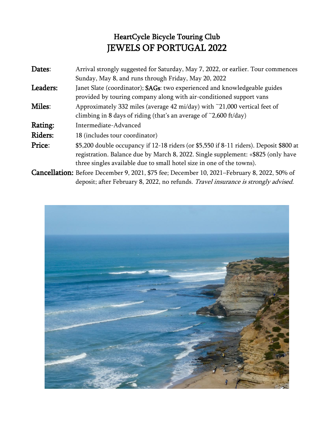## HeartCycle Bicycle Touring Club JEWELS OF PORTUGAL 2022

| Dates:   | Arrival strongly suggested for Saturday, May 7, 2022, or earlier. Tour commences                                                                                                                                                                    |
|----------|-----------------------------------------------------------------------------------------------------------------------------------------------------------------------------------------------------------------------------------------------------|
|          | Sunday, May 8, and runs through Friday, May 20, 2022                                                                                                                                                                                                |
| Leaders: | Janet Slate (coordinator); SAGs: two experienced and knowledgeable guides<br>provided by touring company along with air-conditioned support vans                                                                                                    |
| Miles:   | Approximately 332 miles (average 42 mi/day) with ~21,000 vertical feet of<br>climbing in 8 days of riding (that's an average of $\tilde{C}$ ,600 ft/day)                                                                                            |
| Rating:  | Intermediate-Advanced                                                                                                                                                                                                                               |
| Riders:  | 18 (includes tour coordinator)                                                                                                                                                                                                                      |
| Price:   | \$5,200 double occupancy if 12-18 riders (or \$5,550 if 8-11 riders). Deposit \$800 at<br>registration. Balance due by March 8, 2022. Single supplement: +\$825 (only have<br>three singles available due to small hotel size in one of the towns). |
|          |                                                                                                                                                                                                                                                     |

Cancellation: Before December 9, 2021, \$75 fee; December 10, 2021–February 8, 2022, 50% of deposit; after February 8, 2022, no refunds. Travel insurance is strongly advised.

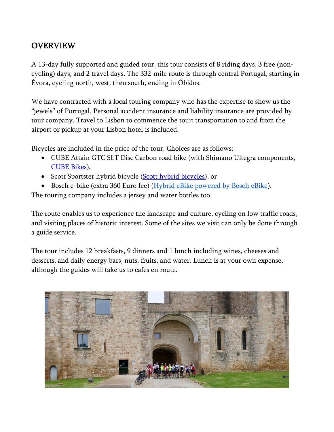## OVERVIEW

A 13-day fully supported and guided tour, this tour consists of 8 riding days, 3 free (noncycling) days, and 2 travel days. The 332-mile route is through central Portugal, starting in Évora, cycling north, west, then south, ending in Óbidos.

We have contracted with a local touring company who has the expertise to show us the "jewels" of Portugal. Personal accident insurance and liability insurance are provided by tour company. Travel to Lisbon to commence the tour; transportation to and from the airport or pickup at your Lisbon hotel is included.

Bicycles are included in the price of the tour. Choices are as follows:

- CUBE Attain GTC SLT Disc Carbon road bike (with Shimano Ultegra components, [CUBE Bikes\)](https://www.cube.eu/en/cube-bikes/),
- Scott Sportster hybrid bicycle [\(Scott hybrid bicycles\)](https://www.scott-sports.com/us/en/products/bike-bikes-hybrid), or
- Bosch e-bike (extra 360 Euro fee) [\(Hybrid eBike powered by Bosch eBike\)](https://www.bosch-ebike.com/us/lp/hybrid-ebike-powered-by-bosch-ebike).

The touring company includes a jersey and water bottles too.

The route enables us to experience the landscape and culture, cycling on low traffic roads, and visiting places of historic interest. Some of the sites we visit can only be done through a guide service.

The tour includes 12 breakfasts, 9 dinners and 1 lunch including wines, cheeses and desserts, and daily energy bars, nuts, fruits, and water. Lunch is at your own expense, although the guides will take us to cafes en route.

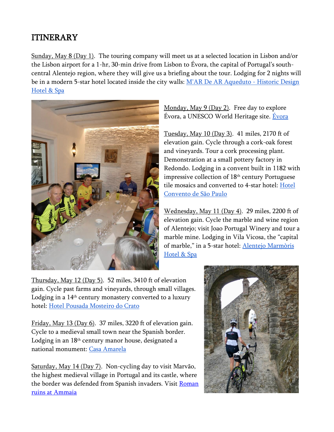## ITINERARY

Sunday, May 8 (Day 1). The touring company will meet us at a selected location in Lisbon and/or the Lisbon airport for a 1-hr, 30-min drive from Lisbon to Évora, the capital of Portugal's southcentral Alentejo region, where they will give us a briefing about the tour. Lodging for 2 nights will be in a modern 5-star hotel located inside the city walls: [M'AR De AR Aqueduto -](https://mardearhotels.com/en-mar-de-ar-aqueduto) Historic Design [Hotel & Spa](https://mardearhotels.com/en-mar-de-ar-aqueduto)



Monday, May 9 (Day 2). Free day to explore Évora, a UNESCO World Heritage site. [Évora](https://en.wikipedia.org/wiki/%C3%89vora)

Tuesday, May 10 (Day 3). 41 miles, 2170 ft of elevation gain. Cycle through a cork-oak forest and vineyards. Tour a cork processing plant. Demonstration at a small pottery factory in Redondo. Lodging in a convent built in 1182 with impressive collection of 18th century Portuguese tile mosaics and converted to 4-star hotel: [Hotel](https://www.hotelconventosaopaulo.com/)  [Convento de São Paulo](https://www.hotelconventosaopaulo.com/)

Wednesday, May 11 (Day 4). 29 miles, 2200 ft of elevation gain. Cycle the marble and wine region of Alentejo; visit Joao Portugal Winery and tour a marble mine. Lodging in Vila Vicosa, the "capital of marble," in a 5-star hotel: [Alentejo Marmòris](https://www.alentejomarmoris.com/)  [Hotel & Spa](https://www.alentejomarmoris.com/)

Thursday, May 12 (Day 5). 52 miles, 3410 ft of elevation gain. Cycle past farms and vineyards, through small villages. Lodging in a 14<sup>th</sup> century monastery converted to a luxury hotel: [Hotel Pousada Mosteiro do](https://www.pousadas.pt/uk/hotel/pousada-crato) Crato

Friday, May 13 (Day 6). 37 miles, 3220 ft of elevation gain. Cycle to a medieval small town near the Spanish border. Lodging in an 18th century manor house, designated a national monument: [Casa Amarela](https://en.casaamarelath.com/galeria)

Saturday, May 14 (Day 7). Non-cycling day to visit Marvão, the highest medieval village in Portugal and its castle, where the border was defended from Spanish invaders. Visit Roman [ruins at Ammaia](https://en.wikipedia.org/wiki/Roman_villa_of_Ammaia)